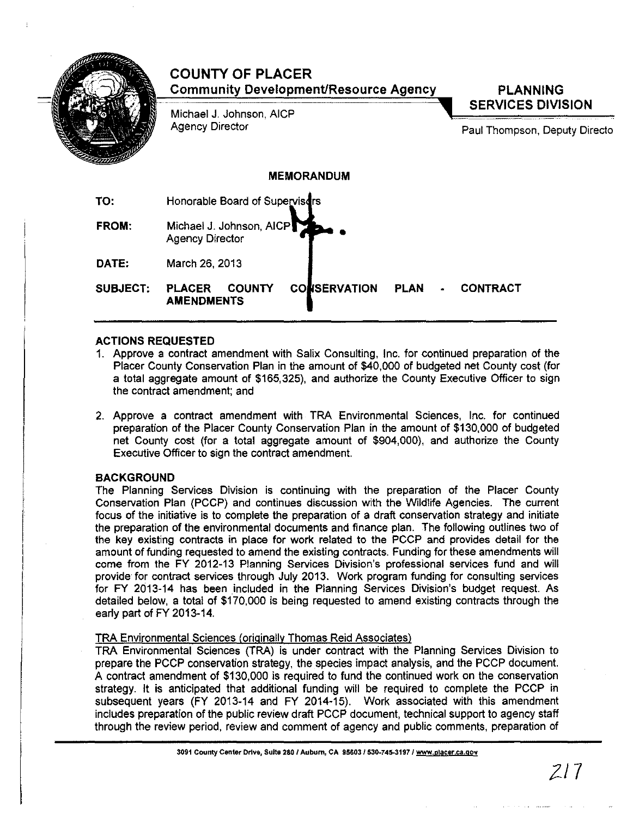

# **ACTIONS REQUESTED**

- 1. Approve a contract amendment with Salix Consulting, Inc. for continued preparation of the Placer County Conservation Plan in the amount of \$40,000 of budgeted net County cost (for a total aggregate amount of \$165,325), and authorize the County Executive Officer to sign the contract amendment; and
- 2. Approve a contract amendment with **TRA** Environmental Sciences, Inc. for continued preparation of the Placer County Conservation Plan in the amount of \$130,000 of budgeted net County cost (for a total aggregate amount of \$904,000), and authorize the County Executive Officer to sign the contract amendment.

# **BACKGROUND**

The Planning Services Division is continuing with the preparation of the Placer County Conservation Plan (PCCP) and continues discussion with the Wildlife Agencies. The current focus of the initiative is to complete the preparation of a draft conservation strategy and initiate the preparation of the environmental documents and finance plan. The following outlines two of the key existing contracts in place for work related to the PCCP and provides detail for the amount of funding requested to amend the existing contracts. Funding for these amendments will come from the **FY** 2012-13 Planning Services Division's professional services fund and will provide for contract services through July 2013. Work program funding for consulting services for FY 2013-14 has been included in the Planning Services DiVision's bUdget request. As detailed below, a total of \$170,000 is being requested to amend existing contracts through the early part of FY 2013-14.

# TRA Environmental Sciences (originally Thomas Reid Associates)

TRA Environmental Sciences (TRA) is under contract with the Planning Services Division to prepare the PCCP conservation strategy, the species impact analysis, and the PCCP document. A contract amendment of \$130,000 is required to fund the continued work on the conservation strategy. It is anticipated that additional funding will be required to complete the PCCP in subsequent years (FY 2013-14 and FY 2014-15). Work associated with this amendment includes preparation of the public review draft PCCP document, technical support to agency staff through the review period, review and comment of agency and public comments, preparation of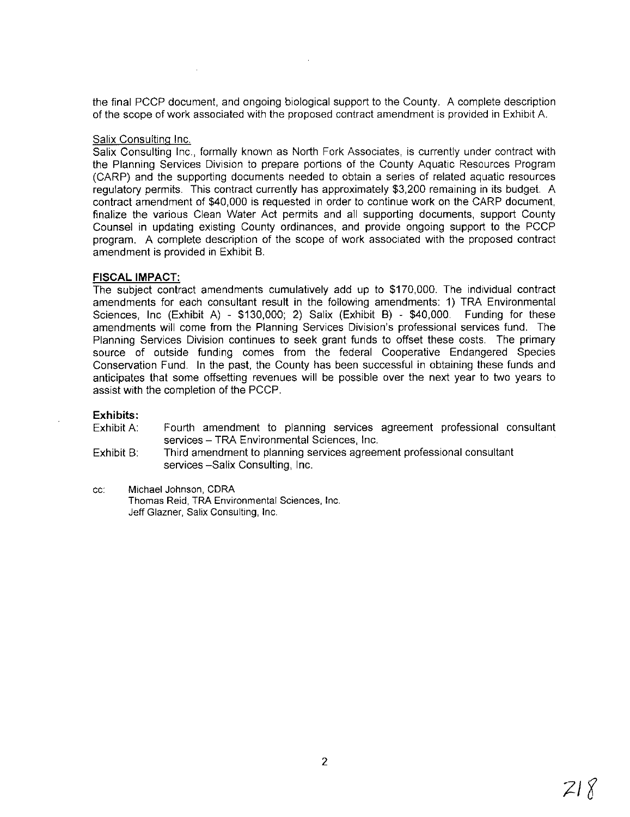the final PCCP document, and ongoing biological support to the County. A complete description of the scope of work associated with the proposed contract amendment is provided in Exhibit A.

### Salix Consulting Inc.

Salix Consulting Inc., formally known as North Fork Associates, is currently under contract with the Planning Services Division to prepare portions of the County Aquatic Resources Program (CARP) and the supporting documents needed to obtain a series of related aquatic resources regulatory permits. This contract currently has approximately \$3,200 remaining in its budget. A contract amendment of \$40,000 is requested in order to continue work on the CARP document, finalize the various Clean Water Act permits and all supporting documents, support County Counsel in updating existing County ordinances, and provide ongoing support to the PCCP program. A complete description of the scope of work associated with the proposed contract amendment is provided in Exhibit B.

### **FISCAL IMPACT:**

The subject contract amendments cumulatively add up to \$170,000. The individual contract amendments for each consultant result in the following amendments: 1) TRA Environmental Sciences, Inc (Exhibit A) - \$130,000; 2) Salix (Exhibit B) - \$40,000. Funding for these amendments will come from the Planning Services Division's professional services fund. The Planning Services Division continues to seek grant funds to offset these costs. The primary source of outside funding comes from the federal Cooperative Endangered Species Conservation Fund. In the past, the County has been successful in obtaining these funds and anticipates that some offsetting revenues will be possible over the next year to two years to assist with the completion of the PCCP.

### **Exhibits:**

- Exhibit A: Fourth amendment to planning services agreement professional consultant services - TRA Environmental Sciences, Inc.
- Exhibit B: Third amendment to planning services agreement professional consultant services -Salix Consulting, Inc.
- cc: Michael Johnson, CORA Thomas Reid, TRA Environmental Sciences, Inc. Jeff Glazner, Salix Consulting, Inc.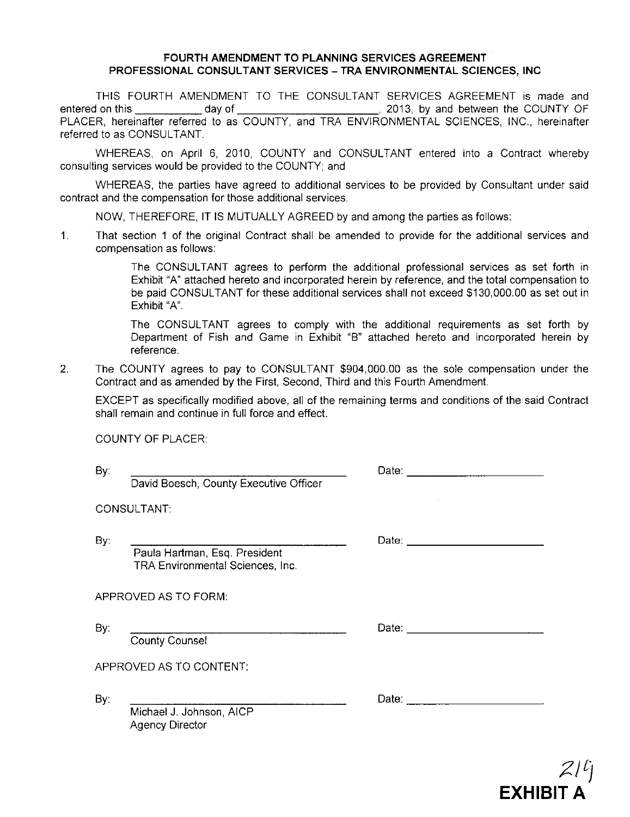### **FOURTH AMENDMENT TO PLANNING SERVICES AGREEMENT PROFESSIONAL CONSULTANT SERVICES - TRA ENVIRONMENTAL SCIENCES, INC**

THIS FOURTH AMENDMENT TO THE CONSULTANT SERVICES AGREEMENT is made and entered on this day of , 2013, by and between the COUNTY OF PLACER, hereinafter referred to as COUNTY, and TRA ENVIRONMENTAL SCIENCES, INC., hereinafter referred to as CONSULTANT.

WHEREAS, on April 6, 2010, COUNTY and CONSULTANT entered into a Contract whereby consulting services would be provided to the COUNTY; and

WHEREAS, the parties have agreed to additional services to be provided by Consultant under said contract and the compensation for those additional services.

NOW, THEREFORE, IT IS MUTUALLY AGREED by and among the parties as follows:

1. That section 1 of the original Contract shall be amended to provide for the additional services and compensation as follows:

> The CONSULTANT agrees to perform the additional professional services as set forth in Exhibit "A" attached hereto and incorporated herein by reference, and the total compensation to be paid CONSULTANT for these additional services shall not exceed \$130,000.00 as set out in Exhibit "A".

> The CONSULTANT agrees to comply with the additional requirements as set forth by Department of Fish and Game in Exhibit "B" attached hereto and incorporated herein by reference.

2. The COUNTY agrees to pay to CONSULTANT \$904,000.00 as the sole compensation under the Contract and as amended by the First, Second, Third and this Fourth Amendment.

EXCEPT as specifically modified above, all of the remaining terms and conditions of the said Contract shall remain and continue in full force and effect.

COUNTY OF PLACER

By:

David Boesch, County Executive Officer

CONSULTANT:

By:

Paula Hartman, Esq. President TRA Environmental Sciences, Inc

APPROVED AS TO FORM:

By:

County Counsel

Date: \_ 

APPROVED AS TO CONTENT:

By:

Michael J. Johnson, AICP Agency Director

Date: \_



Date: \_

Date: \_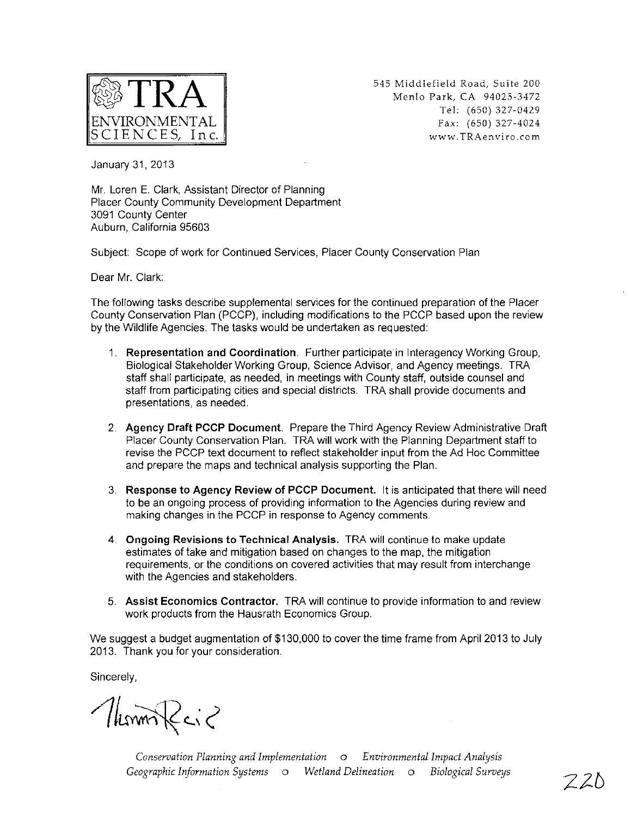

545 Middlefield Road, Suite 200 Menlo Park, CA 94025-3472 Tel: (650) 327-0429 Fax: (650) 327-4024 www.TRAenviro.com

January 31, 2013

Mr. Loren E. Clark, Assistant Director of Planning Placer County Community Development Department 3091 County Center Auburn, California 95603

Subject: Scope of work for Continued Services, Placer County Conservation Plan

Dear Mr. Clark:

The following tasks describe supplemental services for the continued preparation of the Placer County Conservation Plan (PCCP), including modifications to the PCCP based upon the review by the Wildlife Agencies. The tasks would be undertaken as requested:

- 1. Representation and Coordination. Further participate in Interagency Working Group, Biological Stakeholder Working Group, Science Advisor, and Agency meetings. TRA staff shall participate, as needed, in meetings with County staff, outside counsel and staff from participating cities and special districts. TRA shall provide documents and presentations, as needed.
- 2. Agency Draft PCCP Document. Prepare the Third Agency Review Administrative Draft Placer County Conservation Plan. TRA will work with the Planning Department staff to revise the PCCP text document to reflect stakeholder input from the Ad Hoc Committee and prepare the maps and technical analysis supporting the Plan.
- 3. Response to Agency Review of PCCP Document. It is anticipated that there will need to be an ongoing process of providing information to the Agencies during review and making changes in the PCCP in response to Agency comments.
- 4. Ongoing Revisions to Technical Analysis. TRA will continue to make update estimates of take and mitigation based on changes to the map, the mitigation requirements, or the conditions on covered activities that may result from interchange with the Agencies and stakeholders.
- 5. Assist Economics Contractor. TRA will continue to provide information to and review work products from the Hausrath Economics Group.

We suggest a budget augmentation of \$130,000 to cover the time frame from April 2013 to July 2013. Thank you for your consideration.

Sincerely,

Nummeric

*Conservation Planning and Implementation* <sup>0</sup> *Environmental Impact Analysis Geographic Information Systems* 0 *Wetland Delineation* 0 *Biological Surveys*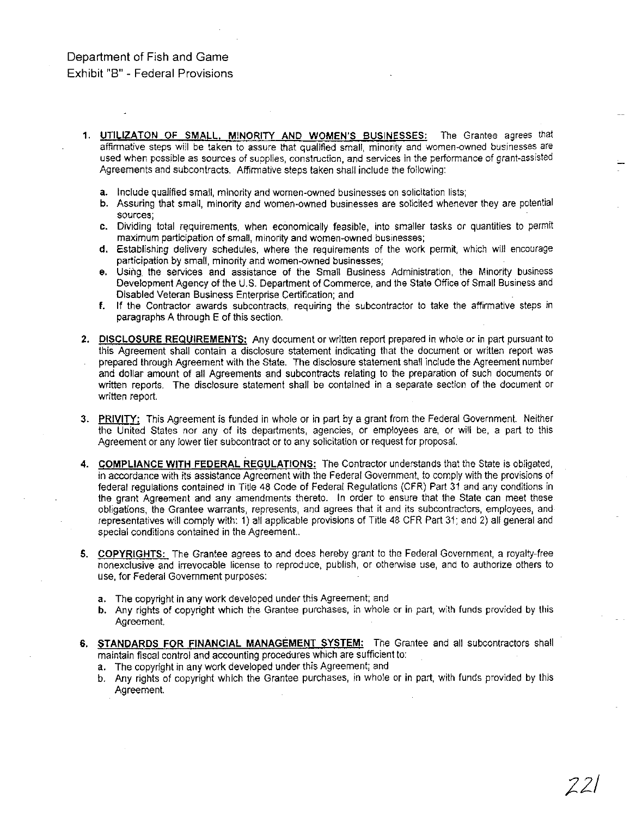# Department of Fish and Game Exhibit "8" - Federal Provisions

- 1. UTILIZATON OF SMALL, MINORITY AND WOMEN'S BUSINESSES: The Grantee agrees that affinmative steps wiil be taken to assure that qualified small, minority and women-owned businesses are used when possible as sources of suoplies, construction, and services in the performance of grant-assisted Agreements and subcontracts. Affirmative steps taken shall include the following:
	- a. Include qualified small, minority and women-owned businesses on solicitation lists;
	- b. Assuring that small, minority and women-owned businesses are solicited whenever they are potential **sources;**
	- c. Dividing total requirements, when economically feasible, into smaller tasks or quantities to permit maximum participation of small, minority and women-owned businesses;
	- d. Establishing delivery schedules, where the reqUirements of the work permit, which will encourage participation by small, minority and women-owned businesses;
	- e. Using the services and assistance of the Small Business Administration, the Minority business Development Agency of the U.S. Department of Commerce, and the State Office of Small Business and Disabled Veteran Business Enterprise Certification; and
	- f. If the Contractor awards subcontracts, requiring the subcontractor to take the affirmative steps in paragraphs A through E of this section.
- 2. DISCLOSURE REQUIREMENTS: Any document or written report prepared in whole or in part pursuant to this Agreement shall contain a disclosure statement indicating that the document or written report was prepared through Agreement with the State. The disclosure statement shall include the Agreement number and dollar amount of all Agreements and subcontracts relating to the preparation of such documents or written reports. The disclosure statement shall be contained in a separate section of the document or written report.
- 3. PRIVITY: This Agreement is funded in whole or in part by a grant from the Federal Government. Neither the United States nor any of its departments, agencies, or employees are, or will be, a part to this Agreement or any iower tier subcontract or to any solicitation or request for proposal.
- 4. COMPLIANCE WITH FEDERAL REGULATIONS: The Contractor understands that the State is obligated, in accordance with its assistance Agreement with the Federal Government, to comply with the provisions of federal regulations contained in TiUe 48 Code of Federai Regulations (CFR) Part 31 and any conditions in the grant Agreement and any amendments thereto. In order to ensure that the State can meet these obligations, the Grantee warrants, represents, and agrees that it and its SUbcontractors, employees, and representatives will comply with: 1) all applicable provisions of Title 48 CFR Part 31; and 2) all general and special conditions contained in the Agreement..
- 5. COPYRIGHTS: The Grantee agrees to and does hereby grant to the Federal Government, a rovalty-free nonexclusive and irrevocable license to reproduce, publish, or otherwise use, and to authorize others to use, for Federal Government purposes:
	- a. The copyright in any work developed under this Agreement; and
	- b. Any rights of copyright which the Grantee purchases, in whoie or in part, with funds provided by this Agreement. .
- 6. STANDARDS FOR FINANCIAL MANAGEMENT SYSTEM: The Grantee and all subcontractors shall maintain fiscal control and accounting procedures which are sufficient to:
	- a. The copyright in any work developed under this Agreement; and
	- b. Any rights of copyright which the Grantee purchases, in whole or in part, with funds provided by this Agreement.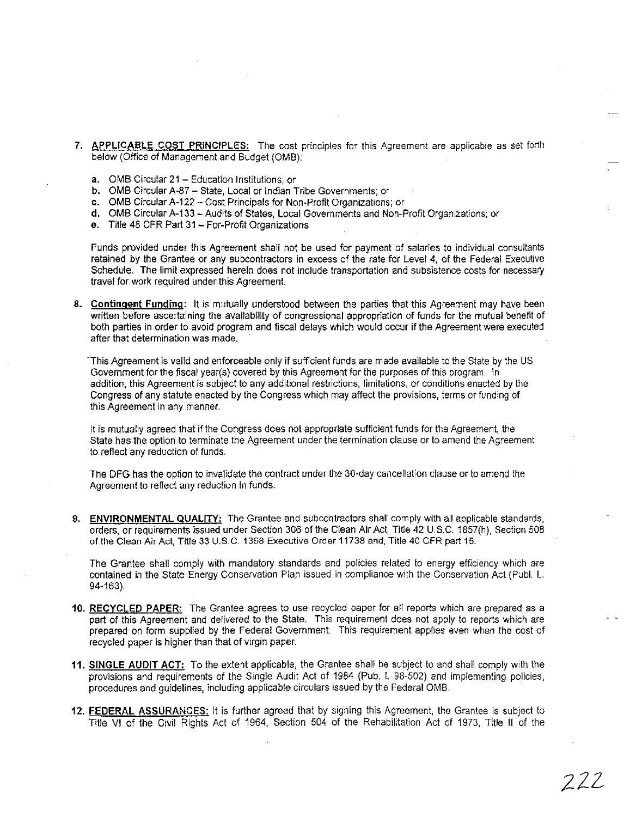- 7. **APPLICABLE COST PRINCIPLES:** The cost principles for this Agreement are applicable as set forth beiow (Office of Management and Budget (OMB):
	- a. OMB Circular 21 Education Institutions; or
	- b. OMB Circular A-87 State, Local or Indian Tribe Governments; or
	- c. OMB Circular A-122 Cost Principals for Non-Profit Organizations; or
	- d. OMS Circular A-133 Audits of States, Local Governments and Non-Profit Organizations; or
	- e. Title 48 CFR Part 31 For-Profit Organizations

Funds provided under this Agreement shall not be used for payment of salaries to individual consultants retained by the Grantee or any subcontractors in excess of the rate for Level 4, of the Federal Executive Schedule. The limit expressed herein does not include transportation and subsistence costs for necessary travel for work required under this Agreement.

8. Contingent Funding: It is mutually understood between the parties that this Agreement may have been written before ascertaining the availability of congressional appropriation of funds for the mutual benefit of both parties in order to avoid program and fiscal delays which would occur if the Agreement were executed after that determination was made.

.This Agreement is valid and enforceable only if sufficient funds are made available to the State by the US Government for the fiscal year(s) covered by this Agreement for the purposes of this program. In addition, this Agreement is subject to any additional restrictions, limitations, or conditions enacted by the Congress of any statute enacted by the Congress which may affect the provisions, terms or funding of this Agreement in any manner.

It is mutually agreed that if the Congress does not appropriate sufficient funds for the Agreement, the State has the option to terminate the Agreement under the termination clause or to amend the Agreement to reflect any reduction of funds.

The DFG has the option to invalidate the confract under the 30-day cancellation clause or to amend the Agreement to reflect any reduction In funds.

9. ENVIRONMENTAL QUALITY: The Grantee and subcontractors shall comply with all applicable standards, orders, or requirements issued under Section 306 of the Clean Air Act, Title 42 U.S.C. 1857(h), Section 508 of the Ciean Air Act, Title 33 U.S.C. 1368 Executive Order 11738 and, Title 40 CFR part 15.

The Grantee shall comply with mandatory standards and policies related to energy efficiency which are contained in the State Energy Conservation Plan issued in compliance with the Conservation Act (Publ. L. 94-163).

- 10. RECYCLED PAPER: The Grantee agrees to use recycled paper for all reports which are prepared as a part of this Agreement and delivered to the State. This requirement does not apply to reports which are prepared on form supplied by the Federal Government. This reqUirement applies even when the cost of recycled paper is higher than that of virgin paper.
- 11. SINGLE AUDIT ACT: To the extent applicable, the Grantee shall be subject to and shall comply wilh the provisions and requirements of the Single Audit Act of 1984 (Pub. L 98-502) and implementing policies, procedures and guidelines, including applicable circulars issued by the Federal OMB.
- 12. FEDERAL ASSURANCES: It is further agreed that by signing this Agreement, the Grantee is subject to Title VI of the Civil Rights Act of 1964, Section 504 of the Rehabilitation Act of 1973, Title II of the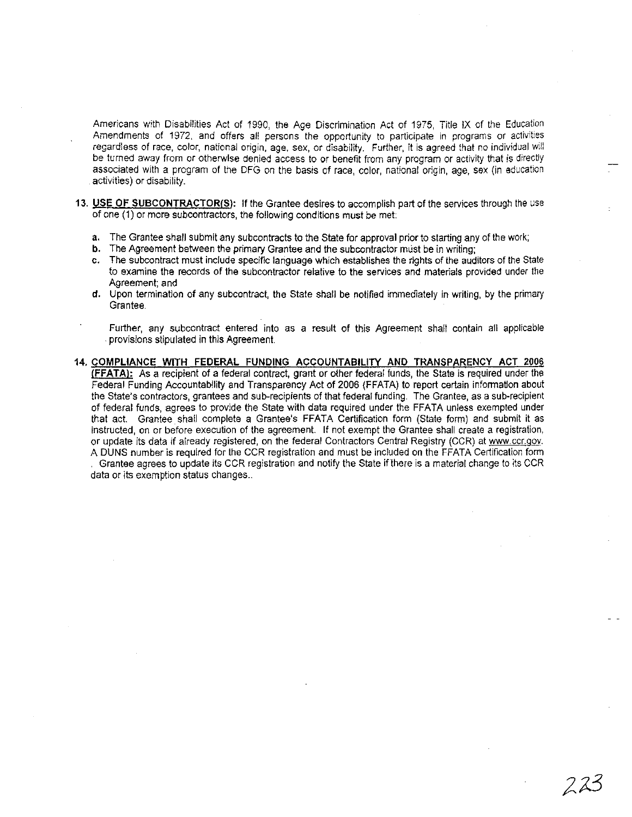Americans with Disabilities Act of 1990, the Age Discrimination Act of 1975, Title IX of the Education Amendments of 1972, and offers ali persons the opportunity to participate in programs or activities regardless of race, color, national origin, age, sex, or disability. Further, it is agreed that no individual will be turned away from or otherwise denied access to or benefit from any program or activity that is directly associated with a program of the DFG on the basis of race, color, national origin, age, sex (in education activities) or disability.

- 13. USE OF SUBCONTRACTOR(S): If the Grantee desires to accomplish part of the services through the use of one (1) or more subcontractors, the folloWing conditions must be met:
	- a, The Grantee shall submit any subcontracts to the State for approval prior to starting any of the work;
	- b. The Agreement between the primary Grantee and the subcontractor must be in writing;
	- c, The subcontract must inciude specific language which establishes the rights of the auditors of the State to examine the records of the subcontractor relative to the services and materials provided under the Agreement; and
	- d, Upon termination of any sUbcontract, the State shall be notified immediately in writing, by the primary Grantee.
		- Further, any subcontract entered into as a result of this Agreement shall contain all applicable . provisions stipulated in this Agreement.
- 14, COMPLIANCE WITH FEDERAL FUNDING ACCOUNTABILITY AND TRANSPARENCY ACT 2006 (FFATAI: As a recipient of a federal contract, grant or other federal funds, the State is required under the Federal Funding Accountability and Transparency Act of 2006 (FFATA) to report certain infonmatlon about the State's contractors, grantees and sub-recipients of that federal funding. The Grantee, as a sub-recipient of federal funds, agrees to provide the State with data required under the FFATA unless exempted under that act: Grantee shall complete a Grantee's FFATA Certification form (State form) and submit it as instructed, on or before execution of the agreement. If not exempt the Grantee shall create a registration, or update its data if already registered, on the federal Contractors Central Registry (CCR) at www.ccr.gov. A DUNS number is required for the CCR registration and must be included on the FFATA Certification form . Grantee agrees to update its CCR registration and notify the State ilthere is a material change to its CCR data or its exemption status changes..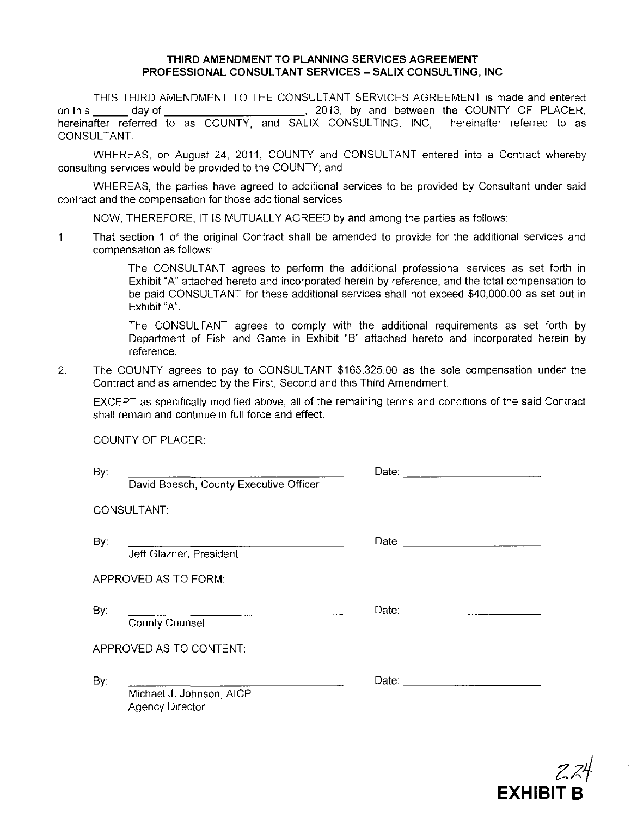### **THIRD AMENDMENT TO PLANNING SERVICES AGREEMENT PROFESSIONAL CONSULTANT SERVICES - SALIX CONSULTING, INC**

THIS THIRD AMENDMENT TO THE CONSULTANT SERVICES AGREEMENT is made and entered on this day of the country of the day of the country of PLACER, hereinafter referred to as COUNTY, and SALIX CONSULTING, INC, hereinafter referred to as CONSULTANT.

WHEREAS, on August 24, 2011, COUNTY and CONSULTANT entered into a Contract whereby consulting services would be provided to the COUNTY; and

WHEREAS, the parties have agreed to additional services to be provided by Consultant under said contract and the compensation for those additional services.

NOW, THEREFORE, IT IS MUTUALLY AGREED by and among the parties as follows:

1. That section 1 of the original Contract shall be amended to provide for the additional services and compensation as follows:

> The CONSULTANT agrees to perform the additional professional services as set forth in Exhibit "A" attached hereto and incorporated herein by reference, and the total compensation to be paid CONSULTANT for these additional services shall not exceed \$40,000.00 as set out in Exhibit "A".

> The CONSULTANT agrees to comply with the additional requirements as set forth by Department of Fish and Game in Exhibit "B" attached hereto and incorporated herein by reference.

2. The COUNTY agrees to pay to CONSULTANT \$165,325.00 as the sole compensation under the Contract and as amended by the First, Second and this Third Amendment.

EXCEPT as specifically modified above, all of the remaining terms and conditions of the said Contract shall remain and continue in full force and effect.

COUNTY OF PLACER:

| By: | David Boesch, County Executive Officer                                                              | Date: and the contract of the contract of the contract of the contract of the contract of the contract of the contract of the contract of the contract of the contract of the contract of the contract of the contract of the |
|-----|-----------------------------------------------------------------------------------------------------|-------------------------------------------------------------------------------------------------------------------------------------------------------------------------------------------------------------------------------|
|     | CONSULTANT:                                                                                         |                                                                                                                                                                                                                               |
| By: | Jeff Glazner, President                                                                             |                                                                                                                                                                                                                               |
|     | APPROVED AS TO FORM:                                                                                |                                                                                                                                                                                                                               |
| By: | the control of the control of the control of the control of the control of<br><b>County Counsel</b> |                                                                                                                                                                                                                               |
|     | APPROVED AS TO CONTENT:                                                                             |                                                                                                                                                                                                                               |
| By: | Michael J. Johnson, AICP<br><b>Agency Director</b>                                                  |                                                                                                                                                                                                                               |

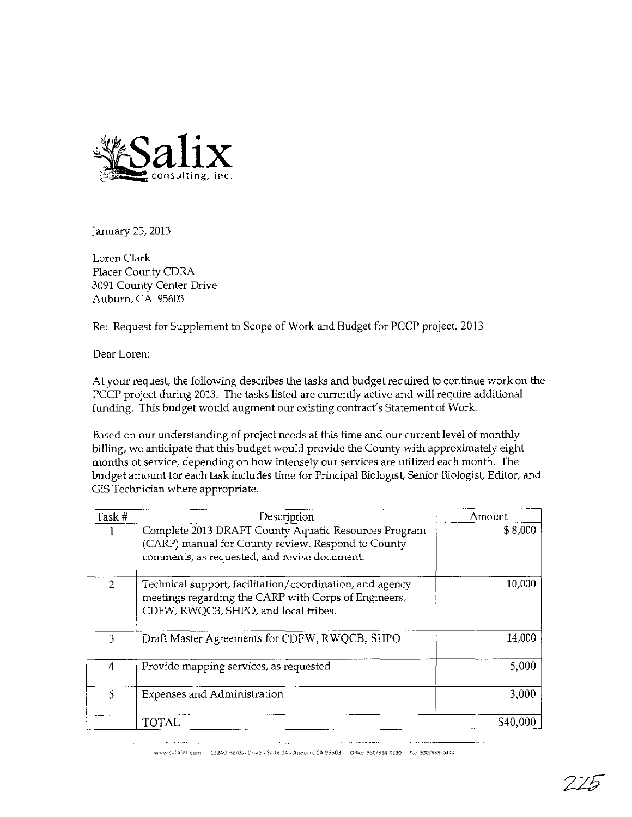

January 25, 2013

Loren Clark Placer County CDRA 3091 County Center Drive Auburn, CA 95603

Re: Request for Supplement to Scope of Work and Budget for PCCP project, 2013

Dear Loren:

At your request, the following describes the tasks and budgetrequired to continue work on the PCCP project during 2013. The tasks listed are currently active and will require additional funding. This budget would augment our existing contract's Statement of Work.

Based on our understanding of project needs at this time and our current level of monthly billing, we anticipate that this budget would provide the County with approximately eight months of service, depending on how intensely our services are utilized each month. The budget amount for each task includes time for Principal Biologist, Senior Biologist, Editor, and GIS Technician where appropriate.

| Task #        | Description                                                                                                                                                | Amount   |
|---------------|------------------------------------------------------------------------------------------------------------------------------------------------------------|----------|
|               | Complete 2013 DRAFT County Aquatic Resources Program<br>(CARP) manual for County review. Respond to County<br>comments, as requested, and revise document. | \$8,000  |
| $\mathcal{L}$ | Technical support, facilitation/coordination, and agency<br>meetings regarding the CARP with Corps of Engineers,<br>CDFW, RWOCB, SHPO, and local tribes.   | 10,000   |
| 3             | Draft Master Agreements for CDFW, RWQCB, SHPO                                                                                                              | 14,000   |
| 4             | Provide mapping services, as requested                                                                                                                     | 5,000    |
| 5             | <b>Expenses and Administration</b>                                                                                                                         | 3,000    |
|               | <b>TOTAL</b>                                                                                                                                               | \$40,000 |

www.salixinc.com 12240 Herdal Drive - Suite 14 - Auburn, CA 95603 - Office 530/888-0130 - Fax 530/888-0440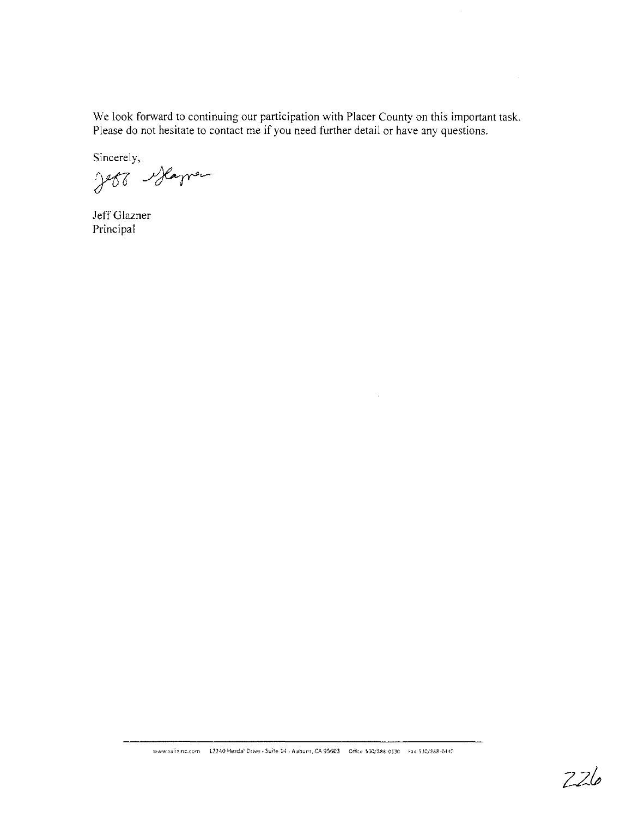We look forward to continuing our participation with Placer County on this important task. Please do not hesitate to contact me **if** you need further detail or have any questions.

Sincerely,

Jebb Slamen

Jeff Glazner Principal

 $226$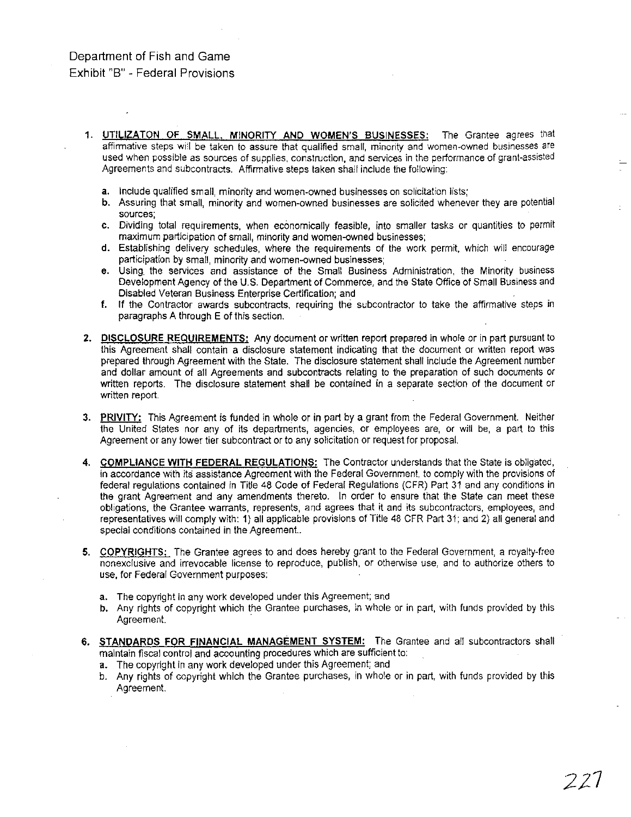# Department of Fish and Game Exhibit "8" - Federal Provisions

- 1. UTILIZATON OF SMALL, MINORITY AND WOMEN'S BUSINESSES: The Grantee agrees that affirmative steps wi'! be taken to assure that qualified small, minority and women-owned businesses are used when possible as sources of supplies, construction, and services in the performance of grant-assisted Agreements and subcontracts. Affirmative steps taken shail include the following:
	- a. Include qualified small, minority and women-owned businesses on solicitation iists;
	- b. Assuring that small, minority and women-owned businesses are solicited whenever they are potentiai sources;
	- c. Dividing total requirements, when economically feasible, into smaller tasks or quantities to permit maximum participation of small, minority and women-owned businesses;
	- d. Establishing delivery scheduies, where the requirements of the work permit, which will encourage participation by small, minority and women-owned businesses;
	- e. Using. the services and assistance of the Small Business Administration, the Minority business Development Agency of the U.S. Department of Commerce, and the State Office of Small Business and Disabled Veteran Business Enterprise Certification; and
	- f. If the Contractor awards subcontracts, requiring the subcontractor to take the affirmative steps in paragraphs A through E of this section.
- 2. DISCLOSURE REQUIREMENTS: Any document or written report prepared in whole or in part pursuant to this Agreement shall contain a disclosure statement indicating that the document or written report was prepared through Agreement with the State. The disclosure statement shall include the Agreement number and dollar amount of all Agreements and subcontracts relating to the preparation of such documents or written reports. The disclosure statement shall be contained in a separate section of the document or written report.
- 3. PRIVITY: This Agreement is funded in whole or in part by a grant from the Federal Government. Neither the United States nor any of its departments, agencies, or employees are, or will be, a part to this Agreement or any lower tier subcontract or to any solicitation or request for proposal.
- 4. COMPLIANCE WITH FEDERAL REGULATIONS: The Contractor understands that the State is obligated, in accordance with its assistance Agreement with the Federai Government, to comply with the provisions of federal regulations contained in Title 48 Code of Federal Regulations (CFR) Part 31 and any conditions in the grant Agreement and any amendments thereto. In order to ensure that the State can meet these obligations, the Grantee warrants, represents, and agrees that it and its subcontractors, employees, and representatives will comply with: 1) all applicable provisions of Title 48 CFR Part 31; and 2) all general and special conditions contained in the Agreement..
- 5. COPYRIGHTS: The Grantee agrees to and does hereby grant to the Federal Government, a royalty-free nonexclusive and irrevocable license to reproduce, publish, or otherwise use, and to authorize others to use, for Federal Government purposes:
	- a. The copyright in any work developed under this Agreement; and
	- b. Any rights of copyright which the Grantee purchases, in whole or in part, with funds provided by this Agreement. .
- 6. STANDARDS FOR FINANCIAL MANAGEMENT SYSTEM: The Grantee and all subcontractors shall maintain fiscal control and accounting procedures which are sufficient to:
	- a. The copyright in any work developed under this Agreement; and
	- b. Any rights of copyright which the Grantee purchases, in whole or in part, with funds provided by this Agreement.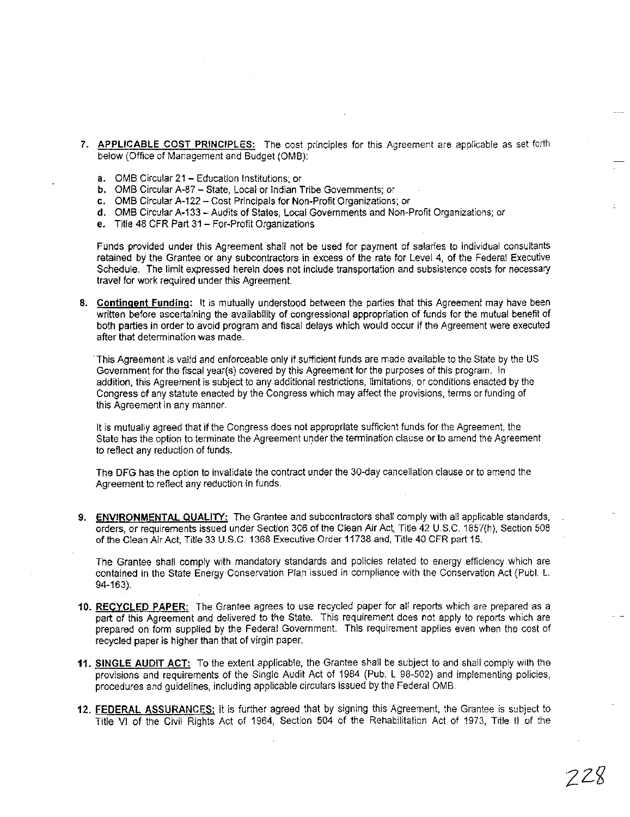- 7. APPLICABLE COST PRINCIPLES: The cost principles for this Agreement are applicable as set forth below (Office of Management and Budget (OMB):
	- a. OMB Circular 21 Education Institutions; or
	- b. OMB Circular A-87 State, Local or Indian Tribe Governments; or
	- c. OMB Circular A-122 Cost Principals for Non-Profit Organizations; or
	- d. OMB Circular A-133 Audits of States, Local Governments and Non-Profit Organizations; or
	- e. Title 48 CFR Part 31 For-Profit Organizations

Funds provided under this Agreement shall not be used for payment of salartes to individual consultants retained by the Grantee or any subcontractors in excess of the rate for Level 4, of the Federal Executive Schedule. The limit expressed herein does not include transportation and subsistence costs for necessary travel for work required under this Agreement.

8. Contingent Funding: It is mutually understood between the parties that this Agreement may have been written before ascertaining the availability of congressional appropriation of funds for the mutual benefit of both parties in order to avoid program and fiscal delays which would occur if the Agreement were executed after that determination was made.

.This Agreement is valid and enforceable only if sufficient funds are made available to the State by the US Govemment for the fiscal year(s) covered by this Agreement for the purposes of this program. In addition, this Agreement is subject to any additional restrictions, limitations, or conditions enacted by the Congress of any statute enacted by the Congress which may affect the provisions, terms or funding of this Agreement in any manner.

It is mutually agreed that if the Congress does not appropriate sufficient funds for the Agreement, the State has the option to terminate the Agreement under the termination clause or to amend the Agreement to reflect any reduction of funds.

The DFG has the option to invalidate the contract under the 30-day cancellation clause or to amend the Agreement to reflect any reduction in funds.

9. ENVIRONMENTAL QUALITY: The Grantee and subcontractors shall comply with all applicable standards, orders, or requirements issued under Section *306* of the Clean Air Act, Title 42 U.S.C. 1857(h), Section 508 of the Clean Air Act, Title 33 U.S.C. 1368 Executive Order 11738 and, Title 40 CFR part 15.

The Grantee shall comply with mandatory standards and policies related to energy efficiency which are contained in the State Energy Conservation Plan issued in compliance with the Conservation Act (Publ. L. 94-163).

- 10. RECYCLED PAPER: The Grantee agrees to use recycled paper for all reports which are prepared as a part of this Agreement and delivered to the State. This requirement does not apply to reports which are prepared on form supplied by the Federal Government. This requirement applies even when the cost of recycled paper is higher than that of virgin paper.
- 11. SINGLE AUDIT ACT: To the extent applicable, the Grantee shall be subject to and shall comply with the provisions and requirements of the Single Audit Act of 1984 (Pub, L 98-502) and implementing policies, procedures and guidelines, including applicable circulars issued by the Federal OMB,
- 12. FEDERAL ASSURANCES: It is further agreed that by signing this Agreement, the Grantee is subject to Title VI of the Civil Rights Act of 1964, Section 504 of the Rehabilitation Act of 1973, Title II of the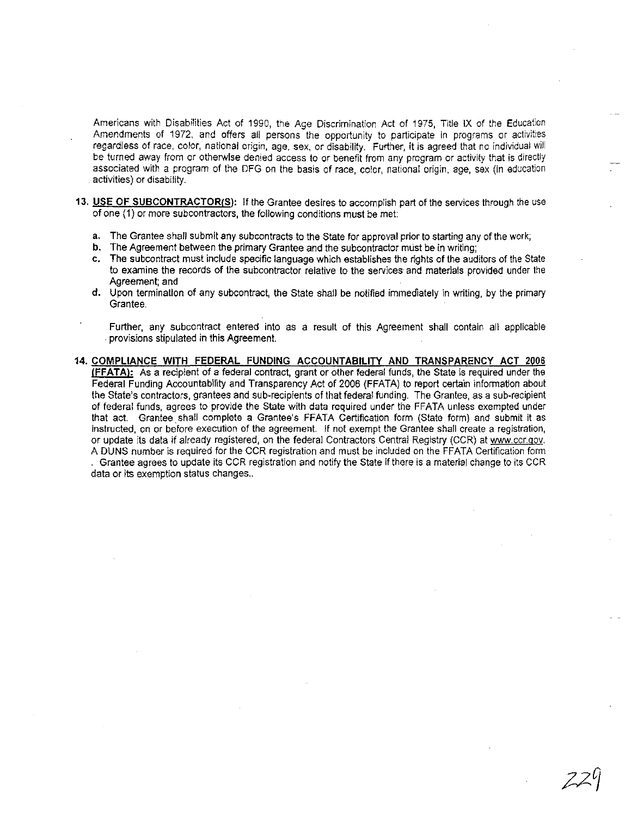Americans with Disabilities Act of 1990, the Age Discrimination Act of 1975, Title IX of the Education Amendments of 1972, and offers all persons the opportunity to participate in programs or activities regardless of race, color, national origin, age, sex, or disability. Further, it is agreed that no individual will be turned away from or otherwise denied access to or benefit from any program or activity that is directly associated with a program of the DFG on the basis of race, color, national origin, age, sex (In education activities) or disability.

- 13. USE OF SUBCONTRACTOR(S): If the Grantee desires to accomplish part of the services through the use of one (1) or more subcontractors, the following conditions must be met:
	- a, The Grantee shall submit any subcontracts to the Slate for approval prior to starting any of the work;
	- b. The Agreement between the primary Grantee and the subcontractor must be in writing:
	- c. The subcontract must include specific language which establishes the rights of the auditors of the State to examine the records of the subcontractor relative to the services and materials provided under the Agreement; and
	- d. Upon termination of any subcontract, the State shall be notified immediately in writing, by the primary Grantee.
		- Further, any subcontract entered into as a result of this Agreement shall contain all applicable . provisions stipulated in this Agreement.
- 14. COMPLIANCE WITH FEDERAL FUNDING ACCOUNTABILITY AND TRANSPARENCY ACT 2006 tFFATAI; As a recipient of a federal contrac!. grant or other federal funds, the Slate is reqUired under the Federal Funding Accountability and Transparency Act of 2006 (FFATA) to report certain infomnatlon about the State's contractors, grantees and sub-recipients of that federal funding. The Grantee, as a sub-recipient of federal funds, agrees to provide the Slate with data required under the FFATA unless exempted under that act. Grantee shall complete a Grantee's FFATA Certification form (State form) and submit it as instructed, on or before execution of the agreement. If not exempt the Grantee shall create a registration, or update its data if already registered, on the federal Contractors Central Registry (CCR) at www.ccr.gov. A DUNS number is required for the CCR registration and must be included on the FFATA Certification form . Grantee agrees to update its CCR registration and notify the State if there is a material change to its CCR data or its exemption status changes..